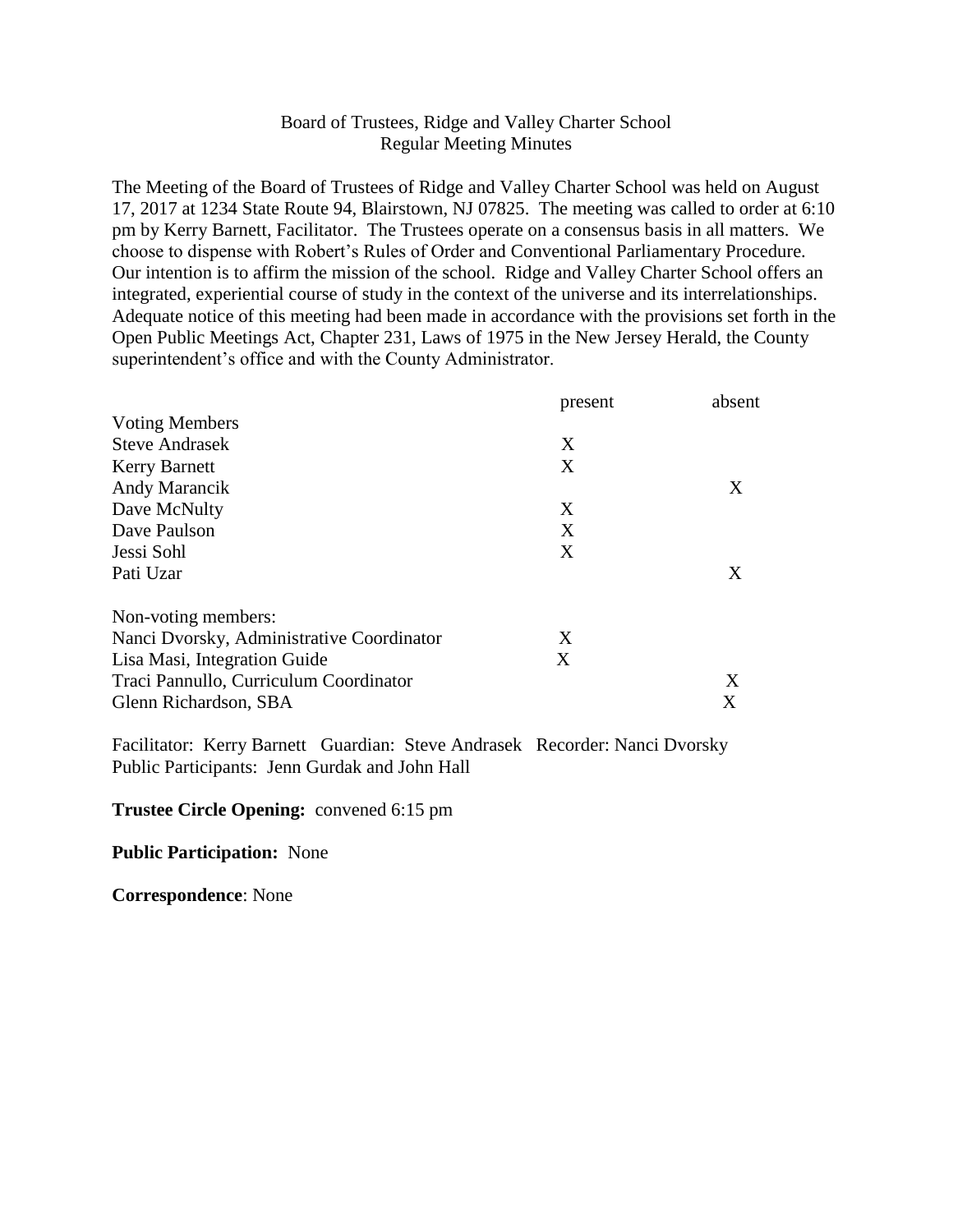## Board of Trustees, Ridge and Valley Charter School Regular Meeting Minutes

The Meeting of the Board of Trustees of Ridge and Valley Charter School was held on August 17, 2017 at 1234 State Route 94, Blairstown, NJ 07825. The meeting was called to order at 6:10 pm by Kerry Barnett, Facilitator. The Trustees operate on a consensus basis in all matters. We choose to dispense with Robert's Rules of Order and Conventional Parliamentary Procedure. Our intention is to affirm the mission of the school. Ridge and Valley Charter School offers an integrated, experiential course of study in the context of the universe and its interrelationships. Adequate notice of this meeting had been made in accordance with the provisions set forth in the Open Public Meetings Act, Chapter 231, Laws of 1975 in the New Jersey Herald, the County superintendent's office and with the County Administrator.

|                                           | present | absent |
|-------------------------------------------|---------|--------|
| <b>Voting Members</b>                     |         |        |
| <b>Steve Andrasek</b>                     | X       |        |
| <b>Kerry Barnett</b>                      | X       |        |
| Andy Marancik                             |         | X      |
| Dave McNulty                              | X       |        |
| Dave Paulson                              | X       |        |
| Jessi Sohl                                | X       |        |
| Pati Uzar                                 |         | X      |
| Non-voting members:                       |         |        |
| Nanci Dvorsky, Administrative Coordinator | X       |        |
| Lisa Masi, Integration Guide              | X       |        |
| Traci Pannullo, Curriculum Coordinator    |         | X      |
| Glenn Richardson, SBA                     |         | X      |

Facilitator: Kerry Barnett Guardian: Steve Andrasek Recorder: Nanci Dvorsky Public Participants: Jenn Gurdak and John Hall

#### **Trustee Circle Opening:** convened 6:15 pm

#### **Public Participation:** None

**Correspondence**: None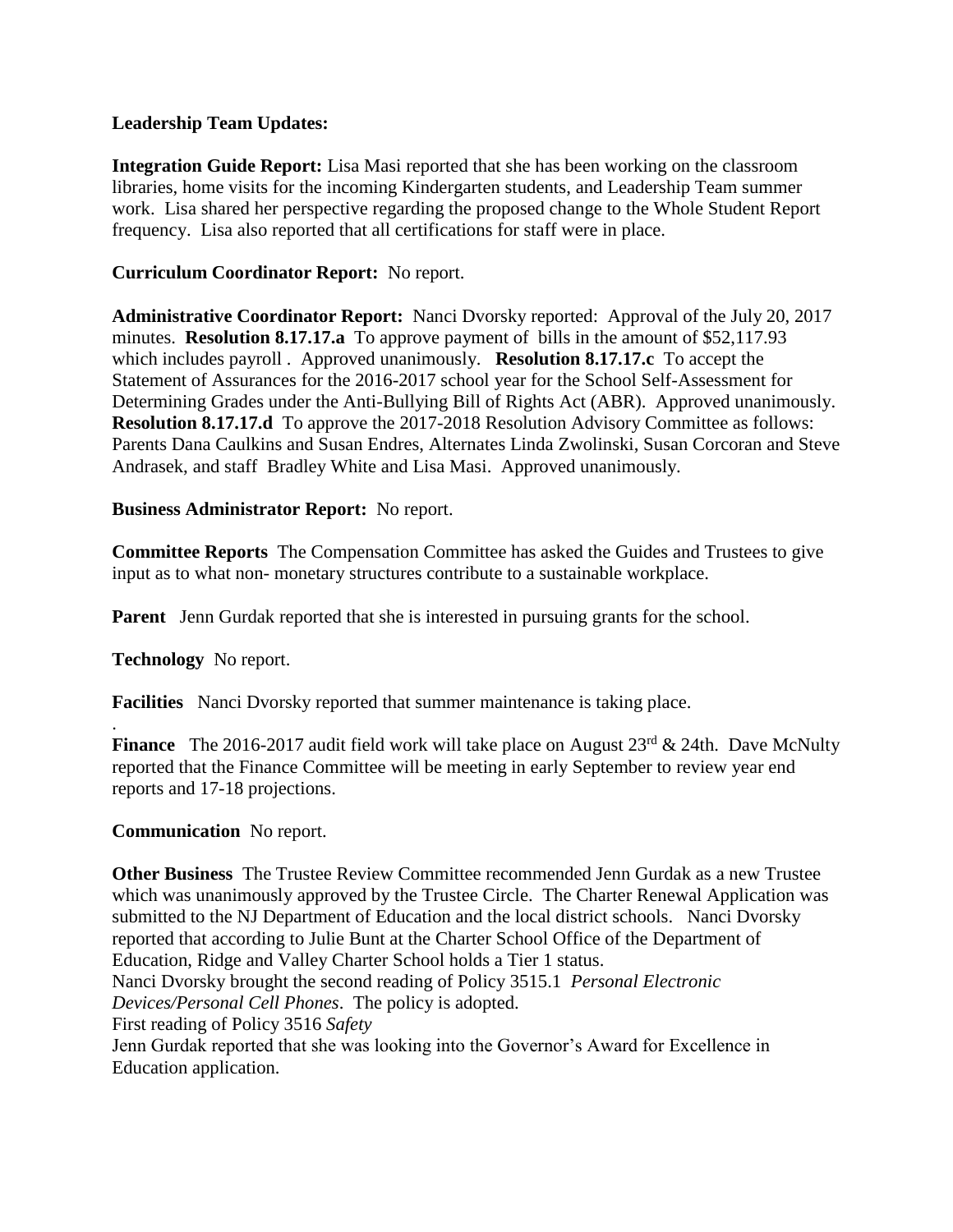## **Leadership Team Updates:**

**Integration Guide Report:** Lisa Masi reported that she has been working on the classroom libraries, home visits for the incoming Kindergarten students, and Leadership Team summer work. Lisa shared her perspective regarding the proposed change to the Whole Student Report frequency. Lisa also reported that all certifications for staff were in place.

# **Curriculum Coordinator Report:** No report.

**Administrative Coordinator Report:** Nanci Dvorsky reported: Approval of the July 20, 2017 minutes. **Resolution 8.17.17.a** To approve payment of bills in the amount of \$52,117.93 which includes payroll . Approved unanimously. **Resolution 8.17.17.c** To accept the Statement of Assurances for the 2016-2017 school year for the School Self-Assessment for Determining Grades under the Anti-Bullying Bill of Rights Act (ABR). Approved unanimously. **Resolution 8.17.17.d** To approve the 2017-2018 Resolution Advisory Committee as follows: Parents Dana Caulkins and Susan Endres, Alternates Linda Zwolinski, Susan Corcoran and Steve Andrasek, and staff Bradley White and Lisa Masi. Approved unanimously.

### **Business Administrator Report:** No report.

**Committee Reports** The Compensation Committee has asked the Guides and Trustees to give input as to what non- monetary structures contribute to a sustainable workplace.

**Parent** Jenn Gurdak reported that she is interested in pursuing grants for the school.

**Technology** No report.

.

**Facilities** Nanci Dvorsky reported that summer maintenance is taking place.

**Finance** The 2016-2017 audit field work will take place on August 23<sup>rd</sup> & 24th. Dave McNulty reported that the Finance Committee will be meeting in early September to review year end reports and 17-18 projections.

### **Communication** No report.

**Other Business** The Trustee Review Committee recommended Jenn Gurdak as a new Trustee which was unanimously approved by the Trustee Circle. The Charter Renewal Application was submitted to the NJ Department of Education and the local district schools. Nanci Dvorsky reported that according to Julie Bunt at the Charter School Office of the Department of Education, Ridge and Valley Charter School holds a Tier 1 status. Nanci Dvorsky brought the second reading of Policy 3515.1 *Personal Electronic Devices/Personal Cell Phones*. The policy is adopted. First reading of Policy 3516 *Safety*  Jenn Gurdak reported that she was looking into the Governor's Award for Excellence in Education application.